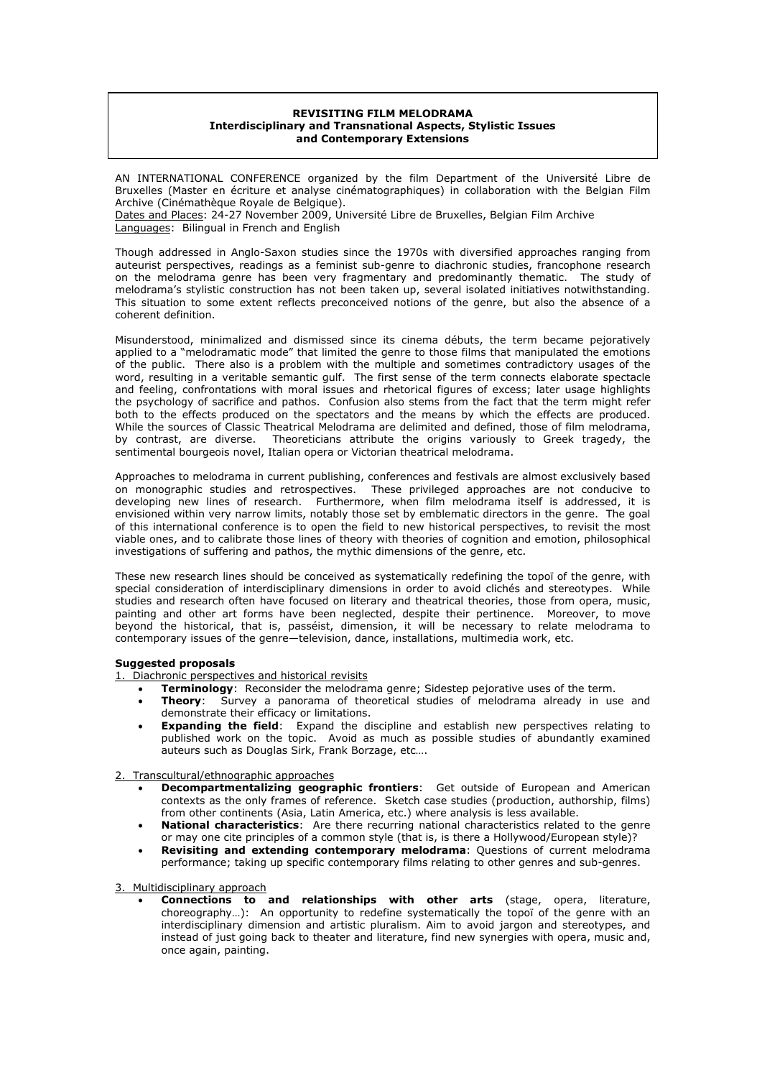### **REVISITING FILM MELODRAMA Interdisciplinary and Transnational Aspects, Stylistic Issues and Contemporary Extensions**

AN INTERNATIONAL CONFERENCE organized by the film Department of the Université Libre de Bruxelles (Master en écriture et analyse cinématographiques) in collaboration with the Belgian Film Archive (Cinémathèque Royale de Belgique).

Dates and Places: 24-27 November 2009, Université Libre de Bruxelles, Belgian Film Archive Languages: Bilingual in French and English

Though addressed in Anglo-Saxon studies since the 1970s with diversified approaches ranging from auteurist perspectives, readings as a feminist sub-genre to diachronic studies, francophone research on the melodrama genre has been very fragmentary and predominantly thematic. The study of melodrama's stylistic construction has not been taken up, several isolated initiatives notwithstanding. This situation to some extent reflects preconceived notions of the genre, but also the absence of a coherent definition.

Misunderstood, minimalized and dismissed since its cinema débuts, the term became pejoratively applied to a "melodramatic mode" that limited the genre to those films that manipulated the emotions of the public. There also is a problem with the multiple and sometimes contradictory usages of the word, resulting in a veritable semantic gulf. The first sense of the term connects elaborate spectacle and feeling, confrontations with moral issues and rhetorical figures of excess; later usage highlights the psychology of sacrifice and pathos. Confusion also stems from the fact that the term might refer both to the effects produced on the spectators and the means by which the effects are produced. While the sources of Classic Theatrical Melodrama are delimited and defined, those of film melodrama, by contrast, are diverse. Theoreticians attribute the origins variously to Greek tragedy, the Theoreticians attribute the origins variously to Greek tragedy, the sentimental bourgeois novel, Italian opera or Victorian theatrical melodrama.

Approaches to melodrama in current publishing, conferences and festivals are almost exclusively based on monographic studies and retrospectives. These privileged approaches are not conducive to developing new lines of research. Furthermore, when film melodrama itself is addressed, it is envisioned within very narrow limits, notably those set by emblematic directors in the genre. The goal of this international conference is to open the field to new historical perspectives, to revisit the most viable ones, and to calibrate those lines of theory with theories of cognition and emotion, philosophical investigations of suffering and pathos, the mythic dimensions of the genre, etc.

These new research lines should be conceived as systematically redefining the topoï of the genre, with special consideration of interdisciplinary dimensions in order to avoid clichés and stereotypes. While studies and research often have focused on literary and theatrical theories, those from opera, music, painting and other art forms have been neglected, despite their pertinence. Moreover, to move beyond the historical, that is, passéist, dimension, it will be necessary to relate melodrama to contemporary issues of the genre—television, dance, installations, multimedia work, etc.

# **Suggested proposals**

1. Diachronic perspectives and historical revisits

- **Terminology**: Reconsider the melodrama genre; Sidestep pejorative uses of the term.
- **Theory**: Survey a panorama of theoretical studies of melodrama already in use and demonstrate their efficacy or limitations.
- **Expanding the field:** Expand the discipline and establish new perspectives relating to published work on the topic. Avoid as much as possible studies of abundantly examined auteurs such as Douglas Sirk, Frank Borzage, etc….

2. Transcultural/ethnographic approaches

- **Decompartmentalizing geographic frontiers**: Get outside of European and American contexts as the only frames of reference. Sketch case studies (production, authorship, films) from other continents (Asia, Latin America, etc.) where analysis is less available.
- **National characteristics**: Are there recurring national characteristics related to the genre or may one cite principles of a common style (that is, is there a Hollywood/European style)?
- **Revisiting and extending contemporary melodrama**: Questions of current melodrama performance; taking up specific contemporary films relating to other genres and sub-genres.

3. Multidisciplinary approach

• **Connections to and relationships with other arts** (stage, opera, literature, choreography…): An opportunity to redefine systematically the topoï of the genre with an interdisciplinary dimension and artistic pluralism. Aim to avoid jargon and stereotypes, and instead of just going back to theater and literature, find new synergies with opera, music and, once again, painting.